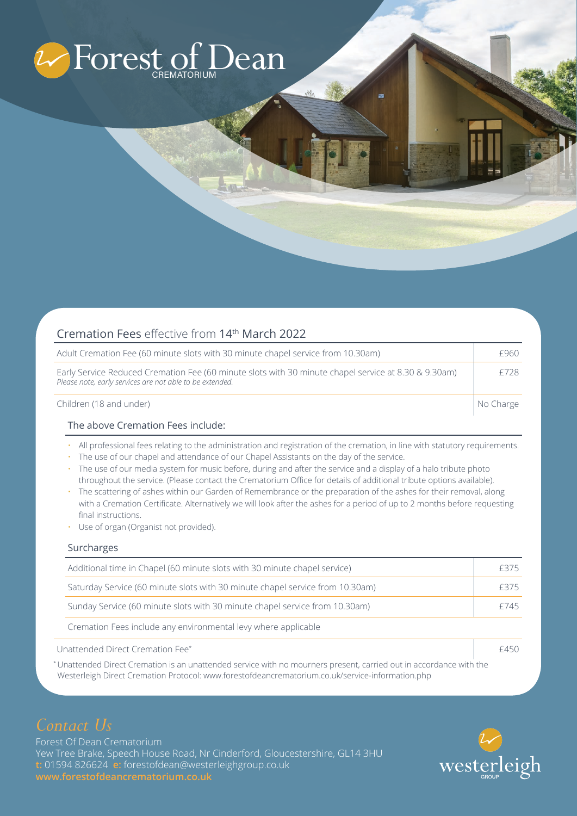

| Cremation Fees effective from 14th March 2022                                                                                                                    |           |
|------------------------------------------------------------------------------------------------------------------------------------------------------------------|-----------|
| Adult Cremation Fee (60 minute slots with 30 minute chapel service from 10.30am)                                                                                 | £960      |
| Early Service Reduced Cremation Fee (60 minute slots with 30 minute chapel service at 8.30 & 9.30am)<br>Please note, early services are not able to be extended. | £728      |
| Children (18 and under)                                                                                                                                          | No Charge |

## The above Cremation Fees include:

- All professional fees relating to the administration and registration of the cremation, in line with statutory requirements.
- The use of our chapel and attendance of our Chapel Assistants on the day of the service.
- The use of our media system for music before, during and after the service and a display of a halo tribute photo throughout the service. (Please contact the Crematorium Office for details of additional tribute options available).
- The scattering of ashes within our Garden of Remembrance or the preparation of the ashes for their removal, along with a Cremation Certificate. Alternatively we will look after the ashes for a period of up to 2 months before requesting final instructions.
- Use of organ (Organist not provided).

## Surcharges

| Additional time in Chapel (60 minute slots with 30 minute chapel service)     |      |
|-------------------------------------------------------------------------------|------|
| Saturday Service (60 minute slots with 30 minute chapel service from 10.30am) | f375 |
| Sunday Service (60 minute slots with 30 minute chapel service from 10.30am)   | f745 |
| Cremation Fees include any environmental levy where applicable                |      |
| Unattended Direct Cremation Fee*                                              |      |

\* Unattended Direct Cremation is an unattended service with no mourners present, carried out in accordance with the Westerleigh Direct Cremation Protocol: www.forestofdeancrematorium.co.uk/service-information.php

# *Contact Us*

Forest Of Dean Crematorium Yew Tree Brake, Speech House Road, Nr Cinderford, Gloucestershire, GL14 3HU **t:** 01594 826624 **e:** forestofdean@westerleighgroup.co.uk